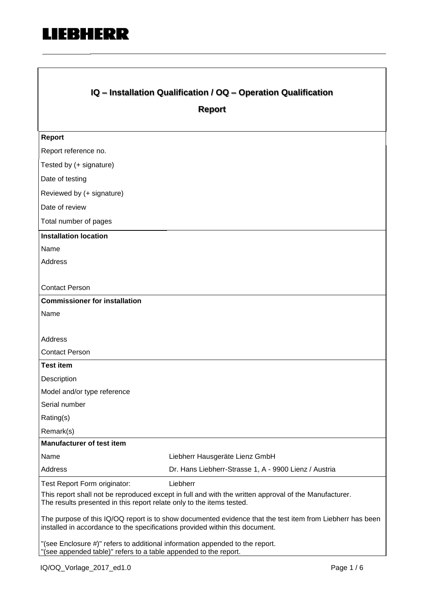

 $\Box$ 

| IQ - Installation Qualification / OQ - Operation Qualification                                                                                                                            |                                                       |  |  |
|-------------------------------------------------------------------------------------------------------------------------------------------------------------------------------------------|-------------------------------------------------------|--|--|
|                                                                                                                                                                                           | <b>Report</b>                                         |  |  |
|                                                                                                                                                                                           |                                                       |  |  |
| <b>Report</b>                                                                                                                                                                             |                                                       |  |  |
| Report reference no.                                                                                                                                                                      |                                                       |  |  |
| Tested by (+ signature)                                                                                                                                                                   |                                                       |  |  |
| Date of testing                                                                                                                                                                           |                                                       |  |  |
| Reviewed by (+ signature)                                                                                                                                                                 |                                                       |  |  |
| Date of review                                                                                                                                                                            |                                                       |  |  |
| Total number of pages                                                                                                                                                                     |                                                       |  |  |
| <b>Installation location</b>                                                                                                                                                              |                                                       |  |  |
| Name                                                                                                                                                                                      |                                                       |  |  |
| Address                                                                                                                                                                                   |                                                       |  |  |
|                                                                                                                                                                                           |                                                       |  |  |
| <b>Contact Person</b>                                                                                                                                                                     |                                                       |  |  |
| <b>Commissioner for installation</b>                                                                                                                                                      |                                                       |  |  |
| Name                                                                                                                                                                                      |                                                       |  |  |
| <b>Address</b>                                                                                                                                                                            |                                                       |  |  |
| <b>Contact Person</b>                                                                                                                                                                     |                                                       |  |  |
| <b>Test item</b>                                                                                                                                                                          |                                                       |  |  |
| Description                                                                                                                                                                               |                                                       |  |  |
| Model and/or type reference                                                                                                                                                               |                                                       |  |  |
| Serial number                                                                                                                                                                             |                                                       |  |  |
| Rating(s)                                                                                                                                                                                 |                                                       |  |  |
| Remark(s)                                                                                                                                                                                 |                                                       |  |  |
| <b>Manufacturer of test item</b>                                                                                                                                                          |                                                       |  |  |
| Name                                                                                                                                                                                      | Liebherr Hausgeräte Lienz GmbH                        |  |  |
| Address                                                                                                                                                                                   | Dr. Hans Liebherr-Strasse 1, A - 9900 Lienz / Austria |  |  |
| Test Report Form originator:                                                                                                                                                              | Liebherr                                              |  |  |
| This report shall not be reproduced except in full and with the written approval of the Manufacturer.<br>The results presented in this report relate only to the items tested.            |                                                       |  |  |
| The purpose of this IQ/OQ report is to show documented evidence that the test item from Liebherr has been<br>installed in accordance to the specifications provided within this document. |                                                       |  |  |
| "(see Enclosure #)" refers to additional information appended to the report.<br>(see appended table)" refers to a table appended to the report.                                           |                                                       |  |  |

٦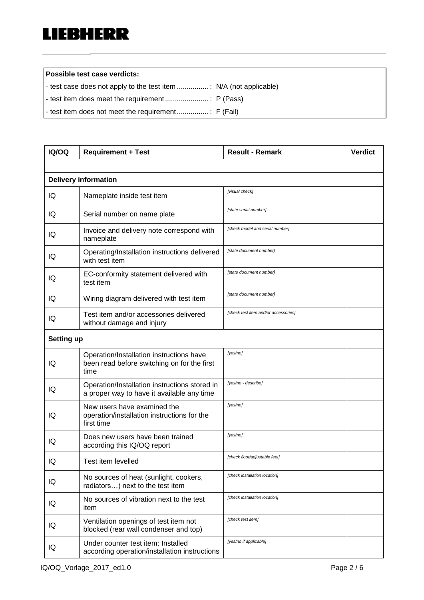**Possible test case verdicts:**

- test case does not apply to the test item ................ : N/A (not applicable)
- test item does meet the requirement ...................... : P (Pass)

- test item does not meet the requirement................ : F (Fail)

| <b>IQ/OQ</b>      | <b>Requirement + Test</b>                                                                       | <b>Result - Remark</b>               | <b>Verdict</b> |
|-------------------|-------------------------------------------------------------------------------------------------|--------------------------------------|----------------|
|                   |                                                                                                 |                                      |                |
|                   | <b>Delivery information</b>                                                                     |                                      |                |
| IQ                | Nameplate inside test item                                                                      | [visual check]                       |                |
| IQ                | Serial number on name plate                                                                     | [state serial number]                |                |
| IQ                | Invoice and delivery note correspond with<br>nameplate                                          | [check model and serial number]      |                |
| IQ                | Operating/Installation instructions delivered<br>with test item                                 | [state document number]              |                |
| IQ                | EC-conformity statement delivered with<br>test item                                             | [state document number]              |                |
| IQ                | Wiring diagram delivered with test item                                                         | [state document number]              |                |
| IQ                | Test item and/or accessories delivered<br>without damage and injury                             | [check test item and/or accessories] |                |
| <b>Setting up</b> |                                                                                                 |                                      |                |
| IQ                | Operation/Installation instructions have<br>been read before switching on for the first<br>time | [yes/no]                             |                |
| IQ                | Operation/Installation instructions stored in<br>a proper way to have it available any time     | [yes/no - describe]                  |                |
| IQ                | New users have examined the<br>operation/installation instructions for the<br>first time        | [yes/no]                             |                |
| IQ                | Does new users have been trained<br>according this IQ/OQ report                                 | [yes/no]                             |                |
| IQ                | Test item levelled                                                                              | [check floor/adjustable feet]        |                |
| IQ                | No sources of heat (sunlight, cookers,<br>radiators) next to the test item                      | [check installation location]        |                |
| IQ                | No sources of vibration next to the test<br>item                                                | [check installation location]        |                |
| IQ                | Ventilation openings of test item not<br>blocked (rear wall condenser and top)                  | [check test item]                    |                |
| IQ                | Under counter test item: Installed<br>according operation/installation instructions             | [yes/no if applicable]               |                |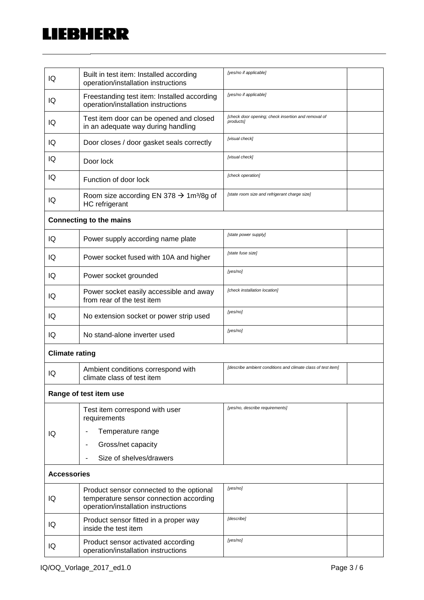## **LIEBHERR**

| IQ                    | Built in test item: Installed according<br>operation/installation instructions                                             | [yes/no if applicable]                                           |
|-----------------------|----------------------------------------------------------------------------------------------------------------------------|------------------------------------------------------------------|
| IQ                    | Freestanding test item: Installed according<br>operation/installation instructions                                         | [yes/no if applicable]                                           |
| IQ                    | Test item door can be opened and closed<br>in an adequate way during handling                                              | [check door opening; check insertion and removal of<br>products] |
| IQ                    | Door closes / door gasket seals correctly                                                                                  | [visual check]                                                   |
| IQ                    | Door lock                                                                                                                  | [visual check]                                                   |
| IQ                    | Function of door lock                                                                                                      | [check operation]                                                |
| IQ                    | Room size according EN 378 $\rightarrow$ 1m <sup>3</sup> /8g of<br>HC refrigerant                                          | [state room size and refrigerant charge size]                    |
|                       | <b>Connecting to the mains</b>                                                                                             |                                                                  |
| IQ                    | Power supply according name plate                                                                                          | [state power supply]                                             |
| IQ                    | Power socket fused with 10A and higher                                                                                     | [state fuse size]                                                |
| IQ                    | Power socket grounded                                                                                                      | [yes/no]                                                         |
| IQ                    | Power socket easily accessible and away<br>from rear of the test item                                                      | [check installation location]                                    |
| IQ                    | No extension socket or power strip used                                                                                    | [yes/no]                                                         |
| IQ                    | No stand-alone inverter used                                                                                               | [yes/no]                                                         |
| <b>Climate rating</b> |                                                                                                                            |                                                                  |
| IQ                    | Ambient conditions correspond with<br>climate class of test item                                                           | [describe ambient conditions and climate class of test item]     |
|                       | Range of test item use                                                                                                     |                                                                  |
|                       | Test item correspond with user<br>requirements                                                                             | [yes/no, describe requirements]                                  |
| IQ                    | Temperature range                                                                                                          |                                                                  |
|                       | Gross/net capacity                                                                                                         |                                                                  |
|                       | Size of shelves/drawers                                                                                                    |                                                                  |
| <b>Accessories</b>    |                                                                                                                            |                                                                  |
| IQ                    | Product sensor connected to the optional<br>temperature sensor connection according<br>operation/installation instructions | [yes/no]                                                         |
| IQ                    | Product sensor fitted in a proper way<br>inside the test item                                                              | [describe]                                                       |
| IQ                    | Product sensor activated according<br>operation/installation instructions                                                  | [yes/no]                                                         |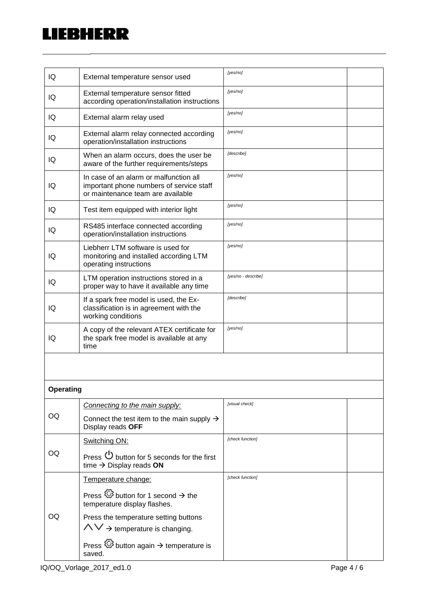## LIEBHERR  $\overline{\phantom{a}}$

| IQ               | External temperature sensor used                                                                                        | [yes/no]                |  |
|------------------|-------------------------------------------------------------------------------------------------------------------------|-------------------------|--|
| IQ               | External temperature sensor fitted<br>according operation/installation instructions                                     | [yes/no]                |  |
| IQ               | External alarm relay used                                                                                               | [yes/no]                |  |
| IQ               | External alarm relay connected according<br>operation/installation instructions                                         | [yes/no]                |  |
| IQ               | When an alarm occurs, does the user be<br>aware of the further requirements/steps                                       | [describe]              |  |
| IQ               | In case of an alarm or malfunction all<br>important phone numbers of service staff<br>or maintenance team are available | [yes/no]                |  |
| IQ               | Test item equipped with interior light                                                                                  | [yes/no]                |  |
| IQ               | RS485 interface connected according<br>operation/installation instructions                                              | [yes/no]                |  |
| IQ               | Liebherr LTM software is used for<br>monitoring and installed according LTM<br>operating instructions                   | [yes/no]                |  |
| IQ               | LTM operation instructions stored in a<br>proper way to have it available any time                                      | [yes/no - describe]     |  |
| IQ               | If a spark free model is used, the Ex-<br>classification is in agreement with the<br>working conditions                 | [describe]              |  |
| IQ               | A copy of the relevant ATEX certificate for<br>the spark free model is available at any<br>time                         | [yes/no]                |  |
|                  |                                                                                                                         |                         |  |
| <b>Operating</b> |                                                                                                                         |                         |  |
|                  | Connecting to the main supply:                                                                                          | [visual check]          |  |
| OQ               | Connect the test item to the main supply $\rightarrow$<br>Display reads OFF                                             |                         |  |
|                  | Switching ON:                                                                                                           | <b>Icheck function1</b> |  |
| OQ               | Press $\bigcup$ button for 5 seconds for the first<br>time $\rightarrow$ Display reads ON                               |                         |  |
|                  | Temperature change:                                                                                                     | [check function]        |  |
|                  | Press $\overleftrightarrow{\mathbb{Q}}$ button for 1 second $\rightarrow$ the<br>temperature display flashes.           |                         |  |
| OQ               | Press the temperature setting buttons                                                                                   |                         |  |
|                  | $\wedge \vee \rightarrow$ temperature is changing.                                                                      |                         |  |
|                  | Press $\overline{\mathbb{Q}}$ button again $\rightarrow$ temperature is<br>saved.                                       |                         |  |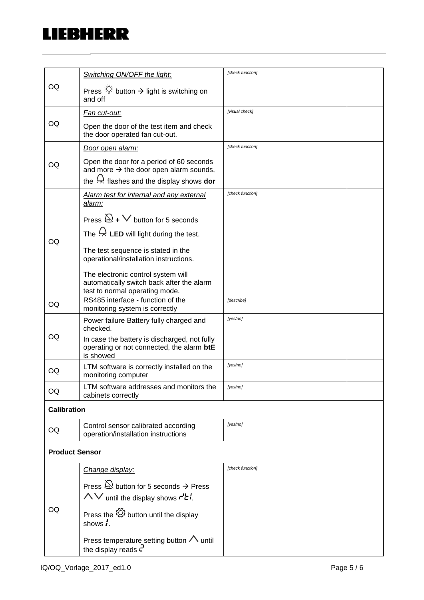## **LIEBHERR**

|                    |                                                                                                                                                           | [check function] |  |
|--------------------|-----------------------------------------------------------------------------------------------------------------------------------------------------------|------------------|--|
| OQ                 | Switching ON/OFF the light:                                                                                                                               |                  |  |
|                    | Press $\mathbb{R}^2$ button $\rightarrow$ light is switching on<br>and off                                                                                |                  |  |
|                    | <u>Fan cut-out:</u>                                                                                                                                       | [visual check]   |  |
| OQ                 | Open the door of the test item and check<br>the door operated fan cut-out.                                                                                |                  |  |
|                    | Door open alarm:                                                                                                                                          | [check function] |  |
| OQ                 | Open the door for a period of 60 seconds<br>and more $\rightarrow$ the door open alarm sounds,<br>the $\leftrightarrow$ flashes and the display shows dor |                  |  |
|                    |                                                                                                                                                           | [check function] |  |
|                    | Alarm test for internal and any external<br>alarm:                                                                                                        |                  |  |
|                    | Press $\mathbb{Q}_+$ $\vee$ button for 5 seconds                                                                                                          |                  |  |
|                    | The $\overleftrightarrow{ }$ LED will light during the test.                                                                                              |                  |  |
| OQ                 | The test sequence is stated in the<br>operational/installation instructions.                                                                              |                  |  |
|                    | The electronic control system will<br>automatically switch back after the alarm<br>test to normal operating mode.                                         |                  |  |
| OQ                 | RS485 interface - function of the<br>monitoring system is correctly                                                                                       | [describe]       |  |
| OQ                 | Power failure Battery fully charged and<br>checked.                                                                                                       | [yes/no]         |  |
|                    | In case the battery is discharged, not fully<br>operating or not connected, the alarm btE<br>is showed                                                    |                  |  |
| OQ                 | LTM software is correctly installed on the<br>monitoring computer                                                                                         | [yes/no]         |  |
| OQ                 | LTM software addresses and monitors the<br>cabinets correctly                                                                                             | [yes/no]         |  |
| <b>Calibration</b> |                                                                                                                                                           |                  |  |
| OQ                 | Control sensor calibrated according<br>operation/installation instructions                                                                                | [yes/no]         |  |
|                    | <b>Product Sensor</b>                                                                                                                                     |                  |  |
|                    | Change display:                                                                                                                                           | [check function] |  |
| OQ                 | Press $\bigotimes$ button for 5 seconds $\rightarrow$ Press<br>$\wedge \vee$ until the display shows $\mathcal{H}$ .                                      |                  |  |
|                    | Press the $\overline{\mathbb{Q}}$ button until the display<br>shows $\mathbf{\mathbf{i}}$ .                                                               |                  |  |
|                    | Press temperature setting button $\Lambda$ until<br>the display reads $\bar{c}$                                                                           |                  |  |